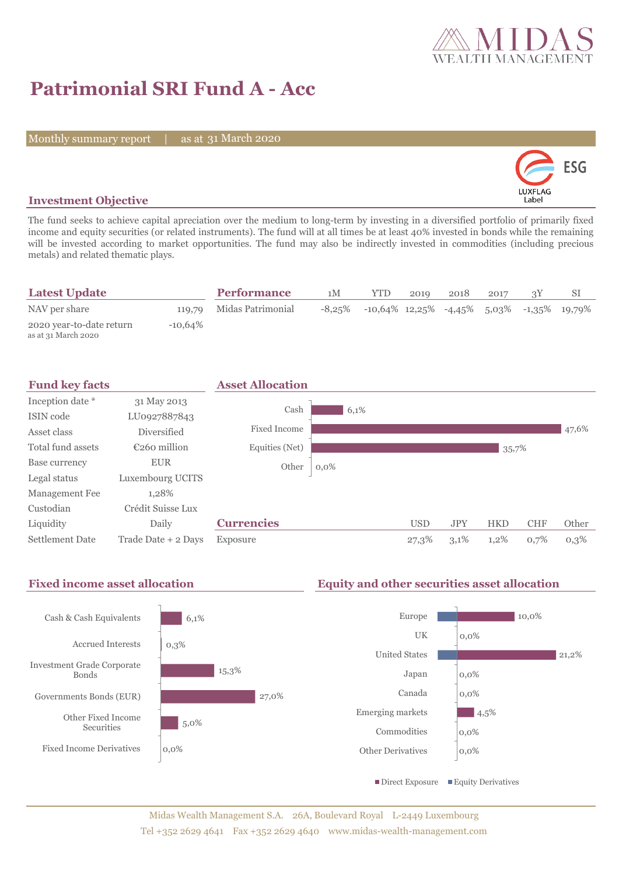

# **Patrimonial SRI Fund A - Acc**

Monthly summary report | as at 31 March 2020



# **Investment Objective**

The fund seeks to achieve capital apreciation over the medium to long-term by investing in a diversified portfolio of primarily fixed income and equity securities (or related instruments). The fund will at all times be at least 40% invested in bonds while the remaining will be invested according to market opportunities. The fund may also be indirectly invested in commodities (including precious metals) and related thematic plays.

| <b>Latest Update</b>                            |            | <b>Performance</b>       | 1M | <b>YTD</b>                                                            | 2019 | 2018 | 2017 |  |
|-------------------------------------------------|------------|--------------------------|----|-----------------------------------------------------------------------|------|------|------|--|
| NAV per share                                   |            | 119,79 Midas Patrimonial |    | $-8,25\%$ $-10,64\%$ $12,25\%$ $-4,45\%$ $5,03\%$ $-1,35\%$ $19,79\%$ |      |      |      |  |
| 2020 year-to-date return<br>as at 31 March 2020 | $-10.64\%$ |                          |    |                                                                       |      |      |      |  |



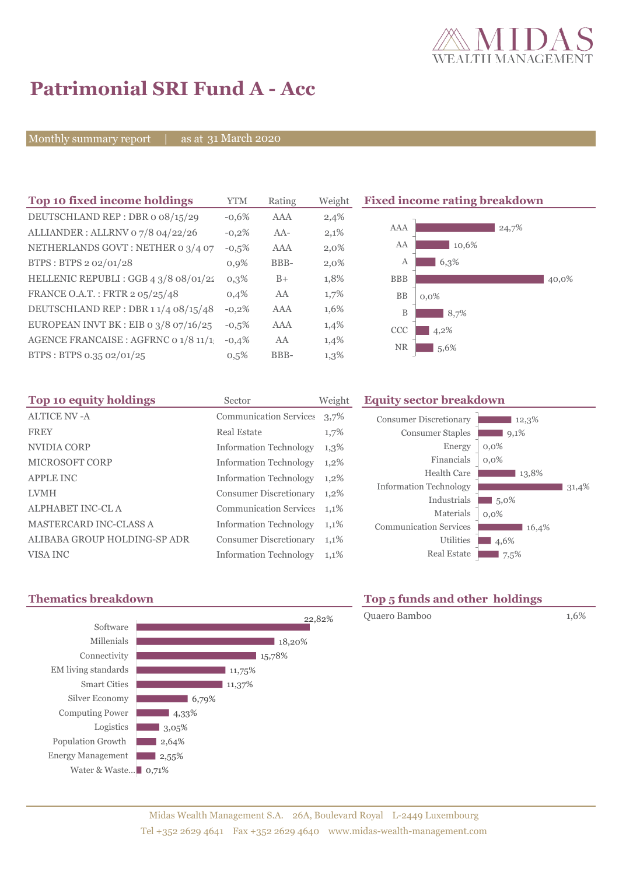

# **Patrimonial SRI Fund A - Acc**

Monthly summary report | as at 31 March 2020

| Top 10 fixed income holdings            | YTM     | Rating     | Weight | <b>Fixed inc</b> |
|-----------------------------------------|---------|------------|--------|------------------|
| DEUTSCHLAND REP: DBR o 08/15/29         | $-0.6%$ | <b>AAA</b> | 2,4%   |                  |
| ALLIANDER: ALLRNV 07/8 04/22/26         | $-0,2%$ | $AA-$      | 2,1%   | AAA              |
| NETHERLANDS GOVT: NETHER 0 3/4 07       | $-0.5%$ | AAA        | 2,0%   | AA               |
| BTPS: BTPS 2 02/01/28                   | 0.9%    | BBB-       | 2,0%   | $\mathsf{A}$     |
| HELLENIC REPUBLI : GGB 4 3/8 08/01/22   | $0,3\%$ | $B+$       | 1,8%   | <b>BBB</b>       |
| FRANCE O.A.T.: FRTR 2 05/25/48          | $0.4\%$ | AA         | 1,7%   | <b>BB</b>        |
| DEUTSCHLAND REP: DBR 11/4 08/15/48      | $-0,2%$ | AAA        | 1,6%   | $\mathbf{B}$     |
| EUROPEAN INVT BK : EIB o $3/8$ o7/16/25 | $-0.5%$ | AAA        | 1,4%   | <b>CCC</b>       |
| AGENCE FRANCAISE : AGFRNC 0 1/8 11/1    | $-0.4%$ | AA         | 1,4%   | NR.              |
| BTPS: BTPS 0.35 02/01/25                | 0.5%    | BBB-       | 1,3%   |                  |
|                                         |         |            |        |                  |

**The 10 fixed income rating breakdown** 



| Top 10 equity holdings        | Sector                        | Weight  |
|-------------------------------|-------------------------------|---------|
| <b>ALTICE NV - A</b>          | <b>Communication Services</b> | 3,7%    |
| <b>FREY</b>                   | Real Estate                   | $1,7\%$ |
| NVIDIA CORP                   | <b>Information Technology</b> | 1,3%    |
| <b>MICROSOFT CORP</b>         | <b>Information Technology</b> | 1,2%    |
| <b>APPLE INC</b>              | <b>Information Technology</b> | 1,2%    |
| <b>LVMH</b>                   | <b>Consumer Discretionary</b> | 1,2%    |
| <b>ALPHABET INC-CL A</b>      | <b>Communication Services</b> | 1,1%    |
| <b>MASTERCARD INC-CLASS A</b> | <b>Information Technology</b> | 1,1%    |
| ALIBABA GROUP HOLDING-SP ADR  | <b>Consumer Discretionary</b> | 1,1%    |
| VISA INC                      | <b>Information Technology</b> | 1,1%    |

## **Equity sector breakdown**

| <b>Consumer Discretionary</b> | 12,3%   |
|-------------------------------|---------|
| <b>Consumer Staples</b>       | 9,1%    |
| Energy                        | $0,0\%$ |
| Financials                    | $0.0\%$ |
| Health Care                   | 13,8%   |
| <b>Information Technology</b> | 31,4%   |
| Industrials                   | 5.0%    |
| Materials                     | $0.0\%$ |
| <b>Communication Services</b> | 16,4%   |
| Utilities                     | 4,6%    |
| <b>Real Estate</b>            | 7,5%    |



# **Thematics breakdown Top 5 funds and other holdings**

Quaero Bamboo 1,6%